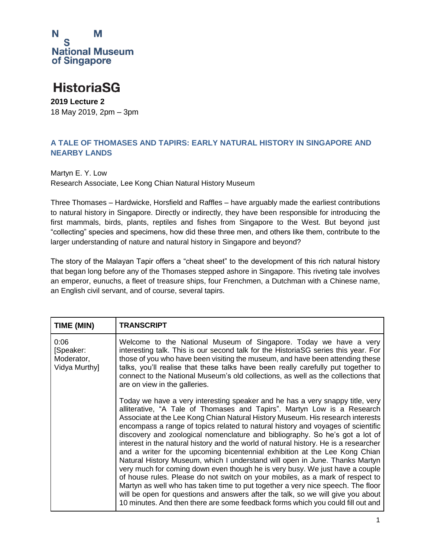

### **HistoriaSG**

**2019 Lecture 2** 18 May 2019, 2pm – 3pm

#### **A TALE OF THOMASES AND TAPIRS: EARLY NATURAL HISTORY IN SINGAPORE AND NEARBY LANDS**

Martyn E. Y. Low Research Associate, Lee Kong Chian Natural History Museum

Three Thomases – Hardwicke, Horsfield and Raffles – have arguably made the earliest contributions to natural history in Singapore. Directly or indirectly, they have been responsible for introducing the first mammals, birds, plants, reptiles and fishes from Singapore to the West. But beyond just "collecting" species and specimens, how did these three men, and others like them, contribute to the larger understanding of nature and natural history in Singapore and beyond?

The story of the Malayan Tapir offers a "cheat sheet" to the development of this rich natural history that began long before any of the Thomases stepped ashore in Singapore. This riveting tale involves an emperor, eunuchs, a fleet of treasure ships, four Frenchmen, a Dutchman with a Chinese name, an English civil servant, and of course, several tapirs.

| TIME (MIN)                                       | <b>TRANSCRIPT</b>                                                                                                                                                                                                                                                                                                                                                                                                                                                                                                                                                                                                                                                                                                                                                                                                                                                                                                                                                                                                                                                                               |
|--------------------------------------------------|-------------------------------------------------------------------------------------------------------------------------------------------------------------------------------------------------------------------------------------------------------------------------------------------------------------------------------------------------------------------------------------------------------------------------------------------------------------------------------------------------------------------------------------------------------------------------------------------------------------------------------------------------------------------------------------------------------------------------------------------------------------------------------------------------------------------------------------------------------------------------------------------------------------------------------------------------------------------------------------------------------------------------------------------------------------------------------------------------|
| 0:06<br>[Speaker:<br>Moderator,<br>Vidya Murthy] | Welcome to the National Museum of Singapore. Today we have a very<br>interesting talk. This is our second talk for the HistoriaSG series this year. For<br>those of you who have been visiting the museum, and have been attending these<br>talks, you'll realise that these talks have been really carefully put together to<br>connect to the National Museum's old collections, as well as the collections that<br>are on view in the galleries.                                                                                                                                                                                                                                                                                                                                                                                                                                                                                                                                                                                                                                             |
|                                                  | Today we have a very interesting speaker and he has a very snappy title, very<br>alliterative, "A Tale of Thomases and Tapirs". Martyn Low is a Research<br>Associate at the Lee Kong Chian Natural History Museum. His research interests<br>encompass a range of topics related to natural history and voyages of scientific<br>discovery and zoological nomenclature and bibliography. So he's got a lot of<br>interest in the natural history and the world of natural history. He is a researcher<br>and a writer for the upcoming bicentennial exhibition at the Lee Kong Chian<br>Natural History Museum, which I understand will open in June. Thanks Martyn<br>very much for coming down even though he is very busy. We just have a couple<br>of house rules. Please do not switch on your mobiles, as a mark of respect to<br>Martyn as well who has taken time to put together a very nice speech. The floor<br>will be open for questions and answers after the talk, so we will give you about<br>10 minutes. And then there are some feedback forms which you could fill out and |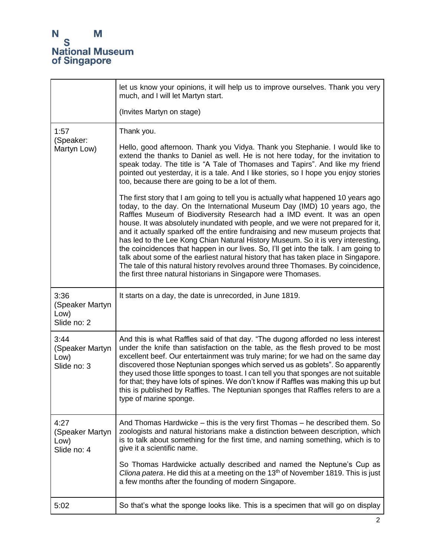|                                                | let us know your opinions, it will help us to improve ourselves. Thank you very<br>much, and I will let Martyn start.                                                                                                                                                                                                                                                                                                                                                                                                                                                                                                                                                                                                                                                                                                                      |
|------------------------------------------------|--------------------------------------------------------------------------------------------------------------------------------------------------------------------------------------------------------------------------------------------------------------------------------------------------------------------------------------------------------------------------------------------------------------------------------------------------------------------------------------------------------------------------------------------------------------------------------------------------------------------------------------------------------------------------------------------------------------------------------------------------------------------------------------------------------------------------------------------|
|                                                | (Invites Martyn on stage)                                                                                                                                                                                                                                                                                                                                                                                                                                                                                                                                                                                                                                                                                                                                                                                                                  |
| 1:57<br>(Speaker:<br>Martyn Low)               | Thank you.<br>Hello, good afternoon. Thank you Vidya. Thank you Stephanie. I would like to<br>extend the thanks to Daniel as well. He is not here today, for the invitation to<br>speak today. The title is "A Tale of Thomases and Tapirs". And like my friend<br>pointed out yesterday, it is a tale. And I like stories, so I hope you enjoy stories<br>too, because there are going to be a lot of them.                                                                                                                                                                                                                                                                                                                                                                                                                               |
|                                                | The first story that I am going to tell you is actually what happened 10 years ago<br>today, to the day. On the International Museum Day (IMD) 10 years ago, the<br>Raffles Museum of Biodiversity Research had a IMD event. It was an open<br>house. It was absolutely inundated with people, and we were not prepared for it,<br>and it actually sparked off the entire fundraising and new museum projects that<br>has led to the Lee Kong Chian Natural History Museum. So it is very interesting,<br>the coincidences that happen in our lives. So, I'll get into the talk. I am going to<br>talk about some of the earliest natural history that has taken place in Singapore.<br>The tale of this natural history revolves around three Thomases. By coincidence,<br>the first three natural historians in Singapore were Thomases. |
| 3:36<br>(Speaker Martyn<br>Low)<br>Slide no: 2 | It starts on a day, the date is unrecorded, in June 1819.                                                                                                                                                                                                                                                                                                                                                                                                                                                                                                                                                                                                                                                                                                                                                                                  |
| 3:44<br>(Speaker Martyn<br>Low)<br>Slide no: 3 | And this is what Raffles said of that day. "The dugong afforded no less interest<br>under the knife than satisfaction on the table, as the flesh proved to be most<br>excellent beef. Our entertainment was truly marine; for we had on the same day<br>discovered those Neptunian sponges which served us as goblets". So apparently<br>they used those little sponges to toast. I can tell you that sponges are not suitable<br>for that; they have lots of spines. We don't know if Raffles was making this up but<br>this is published by Raffles. The Neptunian sponges that Raffles refers to are a<br>type of marine sponge.                                                                                                                                                                                                        |
| 4:27<br>(Speaker Martyn<br>Low)<br>Slide no: 4 | And Thomas Hardwicke – this is the very first Thomas – he described them. So<br>zoologists and natural historians make a distinction between description, which<br>is to talk about something for the first time, and naming something, which is to<br>give it a scientific name.                                                                                                                                                                                                                                                                                                                                                                                                                                                                                                                                                          |
|                                                | So Thomas Hardwicke actually described and named the Neptune's Cup as<br>Cliona patera. He did this at a meeting on the 13 <sup>th</sup> of November 1819. This is just<br>a few months after the founding of modern Singapore.                                                                                                                                                                                                                                                                                                                                                                                                                                                                                                                                                                                                            |
| 5:02                                           | So that's what the sponge looks like. This is a specimen that will go on display                                                                                                                                                                                                                                                                                                                                                                                                                                                                                                                                                                                                                                                                                                                                                           |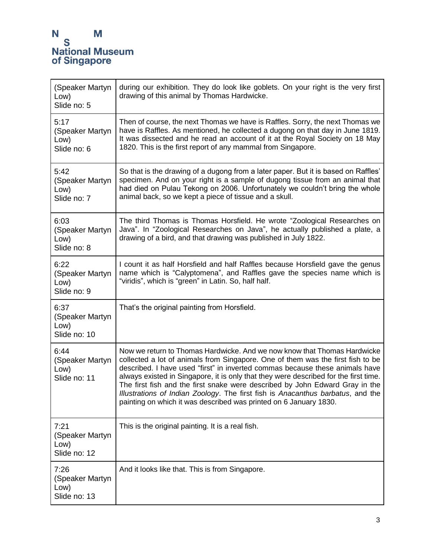| (Speaker Martyn<br>Low)<br>Slide no: 5          | during our exhibition. They do look like goblets. On your right is the very first<br>drawing of this animal by Thomas Hardwicke.                                                                                                                                                                                                                                                                                                                                                                                                                                            |
|-------------------------------------------------|-----------------------------------------------------------------------------------------------------------------------------------------------------------------------------------------------------------------------------------------------------------------------------------------------------------------------------------------------------------------------------------------------------------------------------------------------------------------------------------------------------------------------------------------------------------------------------|
| 5:17<br>(Speaker Martyn<br>Low)<br>Slide no: 6  | Then of course, the next Thomas we have is Raffles. Sorry, the next Thomas we<br>have is Raffles. As mentioned, he collected a dugong on that day in June 1819.<br>It was dissected and he read an account of it at the Royal Society on 18 May<br>1820. This is the first report of any mammal from Singapore.                                                                                                                                                                                                                                                             |
| 5:42<br>(Speaker Martyn<br>Low)<br>Slide no: 7  | So that is the drawing of a dugong from a later paper. But it is based on Raffles'<br>specimen. And on your right is a sample of dugong tissue from an animal that<br>had died on Pulau Tekong on 2006. Unfortunately we couldn't bring the whole<br>animal back, so we kept a piece of tissue and a skull.                                                                                                                                                                                                                                                                 |
| 6:03<br>(Speaker Martyn<br>Low)<br>Slide no: 8  | The third Thomas is Thomas Horsfield. He wrote "Zoological Researches on<br>Java". In "Zoological Researches on Java", he actually published a plate, a<br>drawing of a bird, and that drawing was published in July 1822.                                                                                                                                                                                                                                                                                                                                                  |
| 6:22<br>(Speaker Martyn<br>Low)<br>Slide no: 9  | I count it as half Horsfield and half Raffles because Horsfield gave the genus<br>name which is "Calyptomena", and Raffles gave the species name which is<br>"viridis", which is "green" in Latin. So, half half.                                                                                                                                                                                                                                                                                                                                                           |
| 6:37<br>(Speaker Martyn<br>Low)<br>Slide no: 10 | That's the original painting from Horsfield.                                                                                                                                                                                                                                                                                                                                                                                                                                                                                                                                |
| 6:44<br>(Speaker Martyn<br>Low)<br>Slide no: 11 | Now we return to Thomas Hardwicke. And we now know that Thomas Hardwicke<br>collected a lot of animals from Singapore. One of them was the first fish to be<br>described. I have used "first" in inverted commas because these animals have<br>always existed in Singapore, it is only that they were described for the first time.<br>The first fish and the first snake were described by John Edward Gray in the<br>Illustrations of Indian Zoology. The first fish is Anacanthus barbatus, and the<br>painting on which it was described was printed on 6 January 1830. |
| 7:21<br>(Speaker Martyn<br>Low)<br>Slide no: 12 | This is the original painting. It is a real fish.                                                                                                                                                                                                                                                                                                                                                                                                                                                                                                                           |
| 7:26<br>(Speaker Martyn<br>Low)<br>Slide no: 13 | And it looks like that. This is from Singapore.                                                                                                                                                                                                                                                                                                                                                                                                                                                                                                                             |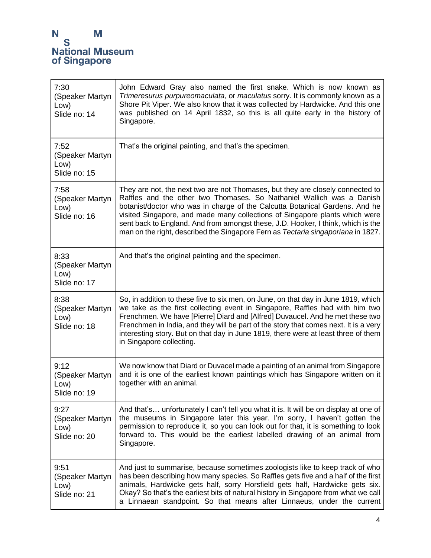| 7:30<br>(Speaker Martyn<br>Low)<br>Slide no: 14 | John Edward Gray also named the first snake. Which is now known as<br>Trimeresurus purpureomaculata, or maculatus sorry. It is commonly known as a<br>Shore Pit Viper. We also know that it was collected by Hardwicke. And this one<br>was published on 14 April 1832, so this is all quite early in the history of<br>Singapore.                                                                                                                                                            |
|-------------------------------------------------|-----------------------------------------------------------------------------------------------------------------------------------------------------------------------------------------------------------------------------------------------------------------------------------------------------------------------------------------------------------------------------------------------------------------------------------------------------------------------------------------------|
| 7:52<br>(Speaker Martyn<br>Low)<br>Slide no: 15 | That's the original painting, and that's the specimen.                                                                                                                                                                                                                                                                                                                                                                                                                                        |
| 7:58<br>(Speaker Martyn<br>Low)<br>Slide no: 16 | They are not, the next two are not Thomases, but they are closely connected to<br>Raffles and the other two Thomases. So Nathaniel Wallich was a Danish<br>botanist/doctor who was in charge of the Calcutta Botanical Gardens. And he<br>visited Singapore, and made many collections of Singapore plants which were<br>sent back to England. And from amongst these, J.D. Hooker, I think, which is the<br>man on the right, described the Singapore Fern as Tectaria singaporiana in 1827. |
| 8:33<br>(Speaker Martyn<br>Low)<br>Slide no: 17 | And that's the original painting and the specimen.                                                                                                                                                                                                                                                                                                                                                                                                                                            |
| 8:38<br>(Speaker Martyn<br>Low)<br>Slide no: 18 | So, in addition to these five to six men, on June, on that day in June 1819, which<br>we take as the first collecting event in Singapore, Raffles had with him two<br>Frenchmen. We have [Pierre] Diard and [Alfred] Duvaucel. And he met these two<br>Frenchmen in India, and they will be part of the story that comes next. It is a very<br>interesting story. But on that day in June 1819, there were at least three of them<br>in Singapore collecting.                                 |
| 9:12<br>(Speaker Martyn<br>Low)<br>Slide no: 19 | We now know that Diard or Duvacel made a painting of an animal from Singapore<br>and it is one of the earliest known paintings which has Singapore written on it<br>together with an animal.                                                                                                                                                                                                                                                                                                  |
| 9:27<br>(Speaker Martyn<br>Low)<br>Slide no: 20 | And that's unfortunately I can't tell you what it is. It will be on display at one of<br>the museums in Singapore later this year. I'm sorry, I haven't gotten the<br>permission to reproduce it, so you can look out for that, it is something to look<br>forward to. This would be the earliest labelled drawing of an animal from<br>Singapore.                                                                                                                                            |
| 9:51<br>(Speaker Martyn<br>Low)<br>Slide no: 21 | And just to summarise, because sometimes zoologists like to keep track of who<br>has been describing how many species. So Raffles gets five and a half of the first<br>animals, Hardwicke gets half, sorry Horsfield gets half, Hardwicke gets six.<br>Okay? So that's the earliest bits of natural history in Singapore from what we call<br>a Linnaean standpoint. So that means after Linnaeus, under the current                                                                          |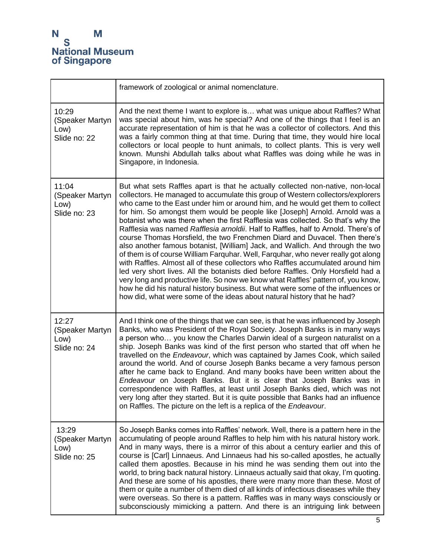|                                                  | framework of zoological or animal nomenclature.                                                                                                                                                                                                                                                                                                                                                                                                                                                                                                                                                                                                                                                                                                                                                                                                                                                                                                                                                                                                                                                                                                                                                 |
|--------------------------------------------------|-------------------------------------------------------------------------------------------------------------------------------------------------------------------------------------------------------------------------------------------------------------------------------------------------------------------------------------------------------------------------------------------------------------------------------------------------------------------------------------------------------------------------------------------------------------------------------------------------------------------------------------------------------------------------------------------------------------------------------------------------------------------------------------------------------------------------------------------------------------------------------------------------------------------------------------------------------------------------------------------------------------------------------------------------------------------------------------------------------------------------------------------------------------------------------------------------|
| 10:29<br>(Speaker Martyn<br>Low)<br>Slide no: 22 | And the next theme I want to explore is what was unique about Raffles? What<br>was special about him, was he special? And one of the things that I feel is an<br>accurate representation of him is that he was a collector of collectors. And this<br>was a fairly common thing at that time. During that time, they would hire local<br>collectors or local people to hunt animals, to collect plants. This is very well<br>known. Munshi Abdullah talks about what Raffles was doing while he was in<br>Singapore, in Indonesia.                                                                                                                                                                                                                                                                                                                                                                                                                                                                                                                                                                                                                                                              |
| 11:04<br>(Speaker Martyn<br>Low)<br>Slide no: 23 | But what sets Raffles apart is that he actually collected non-native, non-local<br>collectors. He managed to accumulate this group of Western collectors/explorers<br>who came to the East under him or around him, and he would get them to collect<br>for him. So amongst them would be people like [Joseph] Arnold. Arnold was a<br>botanist who was there when the first Rafflesia was collected. So that's why the<br>Rafflesia was named Rafflesia arnoldii. Half to Raffles, half to Arnold. There's of<br>course Thomas Horsfield, the two Frenchmen Diard and Duvacel. Then there's<br>also another famous botanist, [William] Jack, and Wallich. And through the two<br>of them is of course William Farquhar. Well, Farquhar, who never really got along<br>with Raffles. Almost all of these collectors who Raffles accumulated around him<br>led very short lives. All the botanists died before Raffles. Only Horsfield had a<br>very long and productive life. So now we know what Raffles' pattern of, you know,<br>how he did his natural history business. But what were some of the influences or<br>how did, what were some of the ideas about natural history that he had? |
| 12:27<br>(Speaker Martyn<br>Low)<br>Slide no: 24 | And I think one of the things that we can see, is that he was influenced by Joseph<br>Banks, who was President of the Royal Society. Joseph Banks is in many ways<br>a person who you know the Charles Darwin ideal of a surgeon naturalist on a<br>ship. Joseph Banks was kind of the first person who started that off when he<br>travelled on the <i>Endeavour</i> , which was captained by James Cook, which sailed<br>around the world. And of course Joseph Banks became a very famous person<br>after he came back to England. And many books have been written about the<br>Endeavour on Joseph Banks. But it is clear that Joseph Banks was in<br>correspondence with Raffles, at least until Joseph Banks died, which was not<br>very long after they started. But it is quite possible that Banks had an influence<br>on Raffles. The picture on the left is a replica of the Endeavour.                                                                                                                                                                                                                                                                                             |
| 13:29<br>(Speaker Martyn<br>Low)<br>Slide no: 25 | So Joseph Banks comes into Raffles' network. Well, there is a pattern here in the<br>accumulating of people around Raffles to help him with his natural history work.<br>And in many ways, there is a mirror of this about a century earlier and this of<br>course is [Carl] Linnaeus. And Linnaeus had his so-called apostles, he actually<br>called them apostles. Because in his mind he was sending them out into the<br>world, to bring back natural history. Linnaeus actually said that okay, I'm quoting.<br>And these are some of his apostles, there were many more than these. Most of<br>them or quite a number of them died of all kinds of infectious diseases while they<br>were overseas. So there is a pattern. Raffles was in many ways consciously or<br>subconsciously mimicking a pattern. And there is an intriguing link between                                                                                                                                                                                                                                                                                                                                         |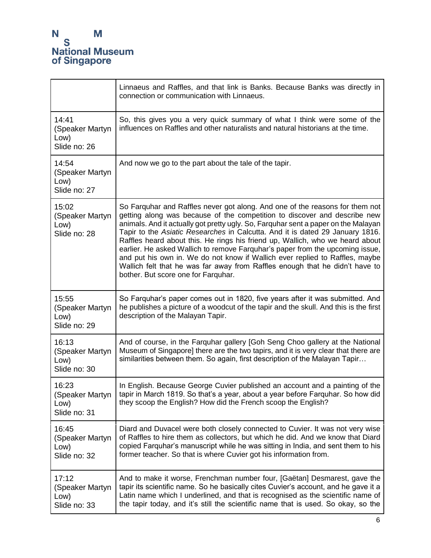|                                                  | Linnaeus and Raffles, and that link is Banks. Because Banks was directly in<br>connection or communication with Linnaeus.                                                                                                                                                                                                                                                                                                                                                                                                                                                                                                                                                                                 |
|--------------------------------------------------|-----------------------------------------------------------------------------------------------------------------------------------------------------------------------------------------------------------------------------------------------------------------------------------------------------------------------------------------------------------------------------------------------------------------------------------------------------------------------------------------------------------------------------------------------------------------------------------------------------------------------------------------------------------------------------------------------------------|
| 14:41<br>(Speaker Martyn<br>Low)<br>Slide no: 26 | So, this gives you a very quick summary of what I think were some of the<br>influences on Raffles and other naturalists and natural historians at the time.                                                                                                                                                                                                                                                                                                                                                                                                                                                                                                                                               |
| 14:54<br>(Speaker Martyn<br>Low)<br>Slide no: 27 | And now we go to the part about the tale of the tapir.                                                                                                                                                                                                                                                                                                                                                                                                                                                                                                                                                                                                                                                    |
| 15:02<br>(Speaker Martyn<br>Low)<br>Slide no: 28 | So Farquhar and Raffles never got along. And one of the reasons for them not<br>getting along was because of the competition to discover and describe new<br>animals. And it actually got pretty ugly. So, Farquhar sent a paper on the Malayan<br>Tapir to the Asiatic Researches in Calcutta. And it is dated 29 January 1816.<br>Raffles heard about this. He rings his friend up, Wallich, who we heard about<br>earlier. He asked Wallich to remove Farquhar's paper from the upcoming issue,<br>and put his own in. We do not know if Wallich ever replied to Raffles, maybe<br>Wallich felt that he was far away from Raffles enough that he didn't have to<br>bother. But score one for Farquhar. |
| 15:55<br>(Speaker Martyn<br>Low)<br>Slide no: 29 | So Farquhar's paper comes out in 1820, five years after it was submitted. And<br>he publishes a picture of a woodcut of the tapir and the skull. And this is the first<br>description of the Malayan Tapir.                                                                                                                                                                                                                                                                                                                                                                                                                                                                                               |
| 16:13<br>(Speaker Martyn<br>Low)<br>Slide no: 30 | And of course, in the Farquhar gallery [Goh Seng Choo gallery at the National<br>Museum of Singapore] there are the two tapirs, and it is very clear that there are<br>similarities between them. So again, first description of the Malayan Tapir                                                                                                                                                                                                                                                                                                                                                                                                                                                        |
| 16:23<br>(Speaker Martyn<br>Low)<br>Slide no: 31 | In English. Because George Cuvier published an account and a painting of the<br>tapir in March 1819. So that's a year, about a year before Farquhar. So how did<br>they scoop the English? How did the French scoop the English?                                                                                                                                                                                                                                                                                                                                                                                                                                                                          |
| 16:45<br>(Speaker Martyn<br>Low)<br>Slide no: 32 | Diard and Duvacel were both closely connected to Cuvier. It was not very wise<br>of Raffles to hire them as collectors, but which he did. And we know that Diard<br>copied Farquhar's manuscript while he was sitting in India, and sent them to his<br>former teacher. So that is where Cuvier got his information from.                                                                                                                                                                                                                                                                                                                                                                                 |
| 17:12<br>(Speaker Martyn<br>Low)<br>Slide no: 33 | And to make it worse, Frenchman number four, [Gaëtan] Desmarest, gave the<br>tapir its scientific name. So he basically cites Cuvier's account, and he gave it a<br>Latin name which I underlined, and that is recognised as the scientific name of<br>the tapir today, and it's still the scientific name that is used. So okay, so the                                                                                                                                                                                                                                                                                                                                                                  |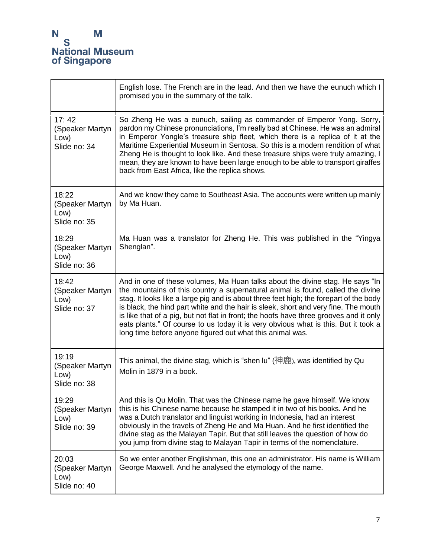|                                                  | English lose. The French are in the lead. And then we have the eunuch which I<br>promised you in the summary of the talk.                                                                                                                                                                                                                                                                                                                                                                                                                                                                      |
|--------------------------------------------------|------------------------------------------------------------------------------------------------------------------------------------------------------------------------------------------------------------------------------------------------------------------------------------------------------------------------------------------------------------------------------------------------------------------------------------------------------------------------------------------------------------------------------------------------------------------------------------------------|
| 17:42<br>(Speaker Martyn<br>Low)<br>Slide no: 34 | So Zheng He was a eunuch, sailing as commander of Emperor Yong. Sorry,<br>pardon my Chinese pronunciations, I'm really bad at Chinese. He was an admiral<br>in Emperor Yongle's treasure ship fleet, which there is a replica of it at the<br>Maritime Experiential Museum in Sentosa. So this is a modern rendition of what<br>Zheng He is thought to look like. And these treasure ships were truly amazing, I<br>mean, they are known to have been large enough to be able to transport giraffes<br>back from East Africa, like the replica shows.                                          |
| 18:22<br>(Speaker Martyn<br>Low)<br>Slide no: 35 | And we know they came to Southeast Asia. The accounts were written up mainly<br>by Ma Huan.                                                                                                                                                                                                                                                                                                                                                                                                                                                                                                    |
| 18:29<br>(Speaker Martyn<br>Low)<br>Slide no: 36 | Ma Huan was a translator for Zheng He. This was published in the "Yingya"<br>Shenglan".                                                                                                                                                                                                                                                                                                                                                                                                                                                                                                        |
| 18:42<br>(Speaker Martyn<br>Low)<br>Slide no: 37 | And in one of these volumes, Ma Huan talks about the divine stag. He says "In<br>the mountains of this country a supernatural animal is found, called the divine<br>stag. It looks like a large pig and is about three feet high; the forepart of the body<br>is black, the hind part white and the hair is sleek, short and very fine. The mouth<br>is like that of a pig, but not flat in front; the hoofs have three grooves and it only<br>eats plants." Of course to us today it is very obvious what is this. But it took a<br>long time before anyone figured out what this animal was. |
| 19:19<br>(Speaker Martyn<br>Low)<br>Slide no: 38 | This animal, the divine stag, which is "shen $\text{lu}$ " (神鹿), was identified by Qu<br>Molin in 1879 in a book.                                                                                                                                                                                                                                                                                                                                                                                                                                                                              |
| 19:29<br>(Speaker Martyn<br>Low)<br>Slide no: 39 | And this is Qu Molin. That was the Chinese name he gave himself. We know<br>this is his Chinese name because he stamped it in two of his books. And he<br>was a Dutch translator and linguist working in Indonesia, had an interest<br>obviously in the travels of Zheng He and Ma Huan. And he first identified the<br>divine stag as the Malayan Tapir. But that still leaves the question of how do<br>you jump from divine stag to Malayan Tapir in terms of the nomenclature.                                                                                                             |
| 20:03<br>(Speaker Martyn<br>Low)<br>Slide no: 40 | So we enter another Englishman, this one an administrator. His name is William<br>George Maxwell. And he analysed the etymology of the name.                                                                                                                                                                                                                                                                                                                                                                                                                                                   |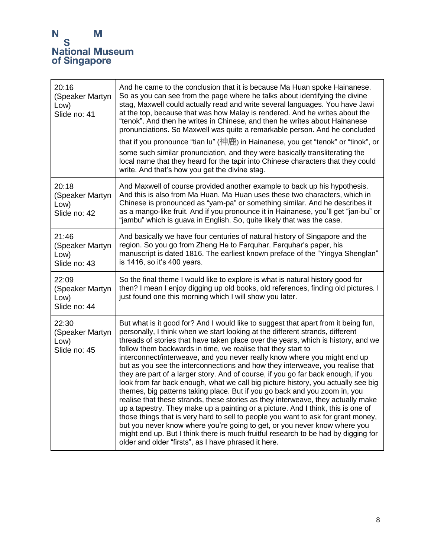| 20:16<br>(Speaker Martyn<br>Low)<br>Slide no: 41 | And he came to the conclusion that it is because Ma Huan spoke Hainanese.<br>So as you can see from the page where he talks about identifying the divine<br>stag, Maxwell could actually read and write several languages. You have Jawi<br>at the top, because that was how Malay is rendered. And he writes about the<br>"tenok". And then he writes in Chinese, and then he writes about Hainanese<br>pronunciations. So Maxwell was quite a remarkable person. And he concluded<br>that if you pronounce "tian lu" (神鹿) in Hainanese, you get "tenok" or "tinok", or<br>some such similar pronunciation, and they were basically transliterating the<br>local name that they heard for the tapir into Chinese characters that they could<br>write. And that's how you get the divine stag.                                                                                                                                                                                                                                                                                                                                                                                                                                         |
|--------------------------------------------------|----------------------------------------------------------------------------------------------------------------------------------------------------------------------------------------------------------------------------------------------------------------------------------------------------------------------------------------------------------------------------------------------------------------------------------------------------------------------------------------------------------------------------------------------------------------------------------------------------------------------------------------------------------------------------------------------------------------------------------------------------------------------------------------------------------------------------------------------------------------------------------------------------------------------------------------------------------------------------------------------------------------------------------------------------------------------------------------------------------------------------------------------------------------------------------------------------------------------------------------|
| 20:18<br>(Speaker Martyn<br>Low)<br>Slide no: 42 | And Maxwell of course provided another example to back up his hypothesis.<br>And this is also from Ma Huan. Ma Huan uses these two characters, which in<br>Chinese is pronounced as "yam-pa" or something similar. And he describes it<br>as a mango-like fruit. And if you pronounce it in Hainanese, you'll get "jan-bu" or<br>"jambu" which is guava in English. So, quite likely that was the case.                                                                                                                                                                                                                                                                                                                                                                                                                                                                                                                                                                                                                                                                                                                                                                                                                                |
| 21:46<br>(Speaker Martyn<br>Low)<br>Slide no: 43 | And basically we have four centuries of natural history of Singapore and the<br>region. So you go from Zheng He to Farquhar. Farquhar's paper, his<br>manuscript is dated 1816. The earliest known preface of the "Yingya Shenglan"<br>is 1416, so it's 400 years.                                                                                                                                                                                                                                                                                                                                                                                                                                                                                                                                                                                                                                                                                                                                                                                                                                                                                                                                                                     |
| 22:09<br>(Speaker Martyn<br>Low)<br>Slide no: 44 | So the final theme I would like to explore is what is natural history good for<br>then? I mean I enjoy digging up old books, old references, finding old pictures. I<br>just found one this morning which I will show you later.                                                                                                                                                                                                                                                                                                                                                                                                                                                                                                                                                                                                                                                                                                                                                                                                                                                                                                                                                                                                       |
| 22:30<br>(Speaker Martyn<br>Low)<br>Slide no: 45 | But what is it good for? And I would like to suggest that apart from it being fun,<br>personally, I think when we start looking at the different strands, different<br>threads of stories that have taken place over the years, which is history, and we<br>follow them backwards in time, we realise that they start to<br>interconnect/interweave, and you never really know where you might end up<br>but as you see the interconnections and how they interweave, you realise that<br>they are part of a larger story. And of course, if you go far back enough, if you<br>look from far back enough, what we call big picture history, you actually see big<br>themes, big patterns taking place. But if you go back and you zoom in, you<br>realise that these strands, these stories as they interweave, they actually make<br>up a tapestry. They make up a painting or a picture. And I think, this is one of<br>those things that is very hard to sell to people you want to ask for grant money,<br>but you never know where you're going to get, or you never know where you<br>might end up. But I think there is much fruitful research to be had by digging for<br>older and older "firsts", as I have phrased it here. |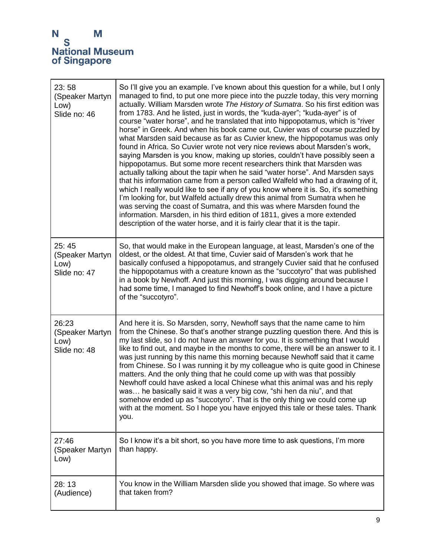| 23:58<br>(Speaker Martyn<br>Low)<br>Slide no: 46 | So I'll give you an example. I've known about this question for a while, but I only<br>managed to find, to put one more piece into the puzzle today, this very morning<br>actually. William Marsden wrote The History of Sumatra. So his first edition was<br>from 1783. And he listed, just in words, the "kuda-ayer"; "kuda-ayer" is of<br>course "water horse", and he translated that into hippopotamus, which is "river<br>horse" in Greek. And when his book came out, Cuvier was of course puzzled by<br>what Marsden said because as far as Cuvier knew, the hippopotamus was only<br>found in Africa. So Cuvier wrote not very nice reviews about Marsden's work,<br>saying Marsden is you know, making up stories, couldn't have possibly seen a<br>hippopotamus. But some more recent researchers think that Marsden was<br>actually talking about the tapir when he said "water horse". And Marsden says<br>that his information came from a person called Walfeld who had a drawing of it,<br>which I really would like to see if any of you know where it is. So, it's something<br>I'm looking for, but Walfeld actually drew this animal from Sumatra when he<br>was serving the coast of Sumatra, and this was where Marsden found the<br>information. Marsden, in his third edition of 1811, gives a more extended<br>description of the water horse, and it is fairly clear that it is the tapir. |
|--------------------------------------------------|----------------------------------------------------------------------------------------------------------------------------------------------------------------------------------------------------------------------------------------------------------------------------------------------------------------------------------------------------------------------------------------------------------------------------------------------------------------------------------------------------------------------------------------------------------------------------------------------------------------------------------------------------------------------------------------------------------------------------------------------------------------------------------------------------------------------------------------------------------------------------------------------------------------------------------------------------------------------------------------------------------------------------------------------------------------------------------------------------------------------------------------------------------------------------------------------------------------------------------------------------------------------------------------------------------------------------------------------------------------------------------------------------------------------|
| 25:45<br>(Speaker Martyn<br>Low)<br>Slide no: 47 | So, that would make in the European language, at least, Marsden's one of the<br>oldest, or the oldest. At that time, Cuvier said of Marsden's work that he<br>basically confused a hippopotamus, and strangely Cuvier said that he confused<br>the hippopotamus with a creature known as the "succotyro" that was published<br>in a book by Newhoff. And just this morning, I was digging around because I<br>had some time, I managed to find Newhoff's book online, and I have a picture<br>of the "succotyro".                                                                                                                                                                                                                                                                                                                                                                                                                                                                                                                                                                                                                                                                                                                                                                                                                                                                                                    |
| 26:23<br>(Speaker Martyn<br>Low)<br>Slide no: 48 | And here it is. So Marsden, sorry, Newhoff says that the name came to him<br>from the Chinese. So that's another strange puzzling question there. And this is<br>my last slide, so I do not have an answer for you. It is something that I would<br>like to find out, and maybe in the months to come, there will be an answer to it. I<br>was just running by this name this morning because Newhoff said that it came<br>from Chinese. So I was running it by my colleague who is quite good in Chinese<br>matters. And the only thing that he could come up with was that possibly<br>Newhoff could have asked a local Chinese what this animal was and his reply<br>was he basically said it was a very big cow, "shi hen da niu", and that<br>somehow ended up as "succotyro". That is the only thing we could come up<br>with at the moment. So I hope you have enjoyed this tale or these tales. Thank<br>you.                                                                                                                                                                                                                                                                                                                                                                                                                                                                                                |
| 27:46<br>(Speaker Martyn<br>Low)                 | So I know it's a bit short, so you have more time to ask questions, I'm more<br>than happy.                                                                                                                                                                                                                                                                                                                                                                                                                                                                                                                                                                                                                                                                                                                                                                                                                                                                                                                                                                                                                                                                                                                                                                                                                                                                                                                          |
| 28:13<br>(Audience)                              | You know in the William Marsden slide you showed that image. So where was<br>that taken from?                                                                                                                                                                                                                                                                                                                                                                                                                                                                                                                                                                                                                                                                                                                                                                                                                                                                                                                                                                                                                                                                                                                                                                                                                                                                                                                        |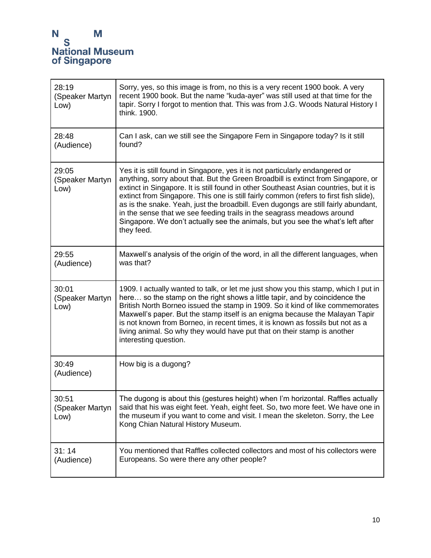| 28:19<br>(Speaker Martyn<br>Low) | Sorry, yes, so this image is from, no this is a very recent 1900 book. A very<br>recent 1900 book. But the name "kuda-ayer" was still used at that time for the<br>tapir. Sorry I forgot to mention that. This was from J.G. Woods Natural History I<br>think. 1900.                                                                                                                                                                                                                                                                                                                                                 |
|----------------------------------|----------------------------------------------------------------------------------------------------------------------------------------------------------------------------------------------------------------------------------------------------------------------------------------------------------------------------------------------------------------------------------------------------------------------------------------------------------------------------------------------------------------------------------------------------------------------------------------------------------------------|
| 28:48<br>(Audience)              | Can I ask, can we still see the Singapore Fern in Singapore today? Is it still<br>found?                                                                                                                                                                                                                                                                                                                                                                                                                                                                                                                             |
| 29:05<br>(Speaker Martyn<br>Low) | Yes it is still found in Singapore, yes it is not particularly endangered or<br>anything, sorry about that. But the Green Broadbill is extinct from Singapore, or<br>extinct in Singapore. It is still found in other Southeast Asian countries, but it is<br>extinct from Singapore. This one is still fairly common (refers to first fish slide),<br>as is the snake. Yeah, just the broadbill. Even dugongs are still fairly abundant,<br>in the sense that we see feeding trails in the seagrass meadows around<br>Singapore. We don't actually see the animals, but you see the what's left after<br>they feed. |
| 29:55<br>(Audience)              | Maxwell's analysis of the origin of the word, in all the different languages, when<br>was that?                                                                                                                                                                                                                                                                                                                                                                                                                                                                                                                      |
| 30:01<br>(Speaker Martyn<br>Low) | 1909. I actually wanted to talk, or let me just show you this stamp, which I put in<br>here so the stamp on the right shows a little tapir, and by coincidence the<br>British North Borneo issued the stamp in 1909. So it kind of like commemorates<br>Maxwell's paper. But the stamp itself is an enigma because the Malayan Tapir<br>is not known from Borneo, in recent times, it is known as fossils but not as a<br>living animal. So why they would have put that on their stamp is another<br>interesting question.                                                                                          |
| 30:49<br>(Audience)              | How big is a dugong?                                                                                                                                                                                                                                                                                                                                                                                                                                                                                                                                                                                                 |
| 30:51<br>(Speaker Martyn<br>Low) | The dugong is about this (gestures height) when I'm horizontal. Raffles actually<br>said that his was eight feet. Yeah, eight feet. So, two more feet. We have one in<br>the museum if you want to come and visit. I mean the skeleton. Sorry, the Lee<br>Kong Chian Natural History Museum.                                                                                                                                                                                                                                                                                                                         |
| 31:14<br>(Audience)              | You mentioned that Raffles collected collectors and most of his collectors were<br>Europeans. So were there any other people?                                                                                                                                                                                                                                                                                                                                                                                                                                                                                        |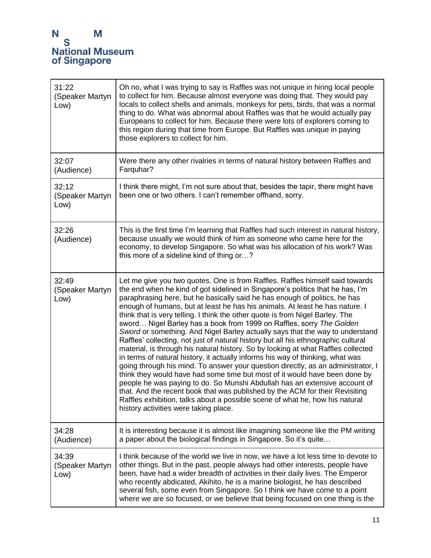| 31:22<br>(Speaker Martyn<br>Low) | Oh no, what I was trying to say is Raffles was not unique in hiring local people<br>to collect for him. Because almost everyone was doing that. They would pay<br>locals to collect shells and animals, monkeys for pets, birds, that was a normal<br>thing to do. What was abnormal about Raffles was that he would actually pay<br>Europeans to collect for him. Because there were lots of explorers coming to<br>this region during that time from Europe. But Raffles was unique in paying<br>those explorers to collect for him.                                                                                                                                                                                                                                                                                                                                                                                                                                                                                                                                                                                                                                                                                                                                                        |
|----------------------------------|-----------------------------------------------------------------------------------------------------------------------------------------------------------------------------------------------------------------------------------------------------------------------------------------------------------------------------------------------------------------------------------------------------------------------------------------------------------------------------------------------------------------------------------------------------------------------------------------------------------------------------------------------------------------------------------------------------------------------------------------------------------------------------------------------------------------------------------------------------------------------------------------------------------------------------------------------------------------------------------------------------------------------------------------------------------------------------------------------------------------------------------------------------------------------------------------------------------------------------------------------------------------------------------------------|
| 32:07<br>(Audience)              | Were there any other rivalries in terms of natural history between Raffles and<br>Farquhar?                                                                                                                                                                                                                                                                                                                                                                                                                                                                                                                                                                                                                                                                                                                                                                                                                                                                                                                                                                                                                                                                                                                                                                                                   |
| 32:12<br>(Speaker Martyn<br>Low) | I think there might, I'm not sure about that, besides the tapir, there might have<br>been one or two others. I can't remember offhand, sorry.                                                                                                                                                                                                                                                                                                                                                                                                                                                                                                                                                                                                                                                                                                                                                                                                                                                                                                                                                                                                                                                                                                                                                 |
| 32:26<br>(Audience)              | This is the first time I'm learning that Raffles had such interest in natural history,<br>because usually we would think of him as someone who came here for the<br>economy, to develop Singapore. So what was his allocation of his work? Was<br>this more of a sideline kind of thing or?                                                                                                                                                                                                                                                                                                                                                                                                                                                                                                                                                                                                                                                                                                                                                                                                                                                                                                                                                                                                   |
| 32:49<br>(Speaker Martyn<br>Low) | Let me give you two quotes. One is from Raffles. Raffles himself said towards<br>the end when he kind of got sidelined in Singapore's politics that he has, I'm<br>paraphrasing here, but he basically said he has enough of politics, he has<br>enough of humans, but at least he has his animals. At least he has nature. I<br>think that is very telling. I think the other quote is from Nigel Barley. The<br>sword Nigel Barley has a book from 1999 on Raffles, sorry The Golden<br>Sword or something. And Nigel Barley actually says that the way to understand<br>Raffles' collecting, not just of natural history but all his ethnographic cultural<br>material, is through his natural history. So by looking at what Raffles collected<br>in terms of natural history, it actually informs his way of thinking, what was<br>going through his mind. To answer your question directly, as an administrator, I<br>think they would have had some time but most of it would have been done by<br>people he was paying to do. So Munshi Abdullah has an extensive account of<br>that. And the recent book that was published by the ACM for their Revisiting<br>Raffles exhibition, talks about a possible scene of what he, how his natural<br>history activities were taking place. |
| 34:28<br>(Audience)              | It is interesting because it is almost like imagining someone like the PM writing<br>a paper about the biological findings in Singapore. So it's quite                                                                                                                                                                                                                                                                                                                                                                                                                                                                                                                                                                                                                                                                                                                                                                                                                                                                                                                                                                                                                                                                                                                                        |
| 34:39<br>(Speaker Martyn<br>Low) | I think because of the world we live in now, we have a lot less time to devote to<br>other things. But in the past, people always had other interests, people have<br>been, have had a wider breadth of activities in their daily lives. The Emperor<br>who recently abdicated, Akihito, he is a marine biologist, he has described<br>several fish, some even from Singapore. So I think we have come to a point<br>where we are so focused, or we believe that being focused on one thing is the                                                                                                                                                                                                                                                                                                                                                                                                                                                                                                                                                                                                                                                                                                                                                                                            |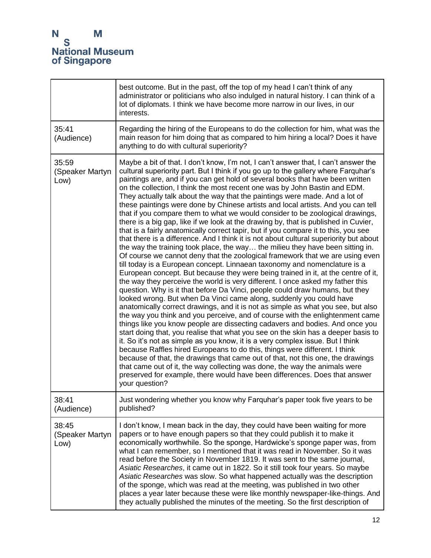|                                  | best outcome. But in the past, off the top of my head I can't think of any<br>administrator or politicians who also indulged in natural history. I can think of a<br>lot of diplomats. I think we have become more narrow in our lives, in our<br>interests.                                                                                                                                                                                                                                                                                                                                                                                                                                                                                                                                                                                                                                                                                                                                                                                                                                                                                                                                                                                                                                                                                                                                                                                                                                                                                                                                                                                                                                                                                                                                                                                                                                                                                                                                                                                                                                                                                                                                                                    |
|----------------------------------|---------------------------------------------------------------------------------------------------------------------------------------------------------------------------------------------------------------------------------------------------------------------------------------------------------------------------------------------------------------------------------------------------------------------------------------------------------------------------------------------------------------------------------------------------------------------------------------------------------------------------------------------------------------------------------------------------------------------------------------------------------------------------------------------------------------------------------------------------------------------------------------------------------------------------------------------------------------------------------------------------------------------------------------------------------------------------------------------------------------------------------------------------------------------------------------------------------------------------------------------------------------------------------------------------------------------------------------------------------------------------------------------------------------------------------------------------------------------------------------------------------------------------------------------------------------------------------------------------------------------------------------------------------------------------------------------------------------------------------------------------------------------------------------------------------------------------------------------------------------------------------------------------------------------------------------------------------------------------------------------------------------------------------------------------------------------------------------------------------------------------------------------------------------------------------------------------------------------------------|
| 35:41<br>(Audience)              | Regarding the hiring of the Europeans to do the collection for him, what was the<br>main reason for him doing that as compared to him hiring a local? Does it have<br>anything to do with cultural superiority?                                                                                                                                                                                                                                                                                                                                                                                                                                                                                                                                                                                                                                                                                                                                                                                                                                                                                                                                                                                                                                                                                                                                                                                                                                                                                                                                                                                                                                                                                                                                                                                                                                                                                                                                                                                                                                                                                                                                                                                                                 |
| 35:59<br>(Speaker Martyn<br>Low) | Maybe a bit of that. I don't know, I'm not, I can't answer that, I can't answer the<br>cultural superiority part. But I think if you go up to the gallery where Farquhar's<br>paintings are, and if you can get hold of several books that have been written<br>on the collection, I think the most recent one was by John Bastin and EDM.<br>They actually talk about the way that the paintings were made. And a lot of<br>these paintings were done by Chinese artists and local artists. And you can tell<br>that if you compare them to what we would consider to be zoological drawings,<br>there is a big gap, like if we look at the drawing by, that is published in Cuvier,<br>that is a fairly anatomically correct tapir, but if you compare it to this, you see<br>that there is a difference. And I think it is not about cultural superiority but about<br>the way the training took place, the way the milieu they have been sitting in.<br>Of course we cannot deny that the zoological framework that we are using even<br>till today is a European concept. Linnaean taxonomy and nomenclature is a<br>European concept. But because they were being trained in it, at the centre of it,<br>the way they perceive the world is very different. I once asked my father this<br>question. Why is it that before Da Vinci, people could draw humans, but they<br>looked wrong. But when Da Vinci came along, suddenly you could have<br>anatomically correct drawings, and it is not as simple as what you see, but also<br>the way you think and you perceive, and of course with the enlightenment came<br>things like you know people are dissecting cadavers and bodies. And once you<br>start doing that, you realise that what you see on the skin has a deeper basis to<br>it. So it's not as simple as you know, it is a very complex issue. But I think<br>because Raffles hired Europeans to do this, things were different. I think<br>because of that, the drawings that came out of that, not this one, the drawings<br>that came out of it, the way collecting was done, the way the animals were<br>preserved for example, there would have been differences. Does that answer<br>your question? |
| 38:41<br>(Audience)              | Just wondering whether you know why Farquhar's paper took five years to be<br>published?                                                                                                                                                                                                                                                                                                                                                                                                                                                                                                                                                                                                                                                                                                                                                                                                                                                                                                                                                                                                                                                                                                                                                                                                                                                                                                                                                                                                                                                                                                                                                                                                                                                                                                                                                                                                                                                                                                                                                                                                                                                                                                                                        |
| 38:45<br>(Speaker Martyn<br>Low) | I don't know, I mean back in the day, they could have been waiting for more<br>papers or to have enough papers so that they could publish it to make it<br>economically worthwhile. So the sponge, Hardwicke's sponge paper was, from<br>what I can remember, so I mentioned that it was read in November. So it was<br>read before the Society in November 1819. It was sent to the same journal,<br>Asiatic Researches, it came out in 1822. So it still took four years. So maybe<br>Asiatic Researches was slow. So what happened actually was the description<br>of the sponge, which was read at the meeting, was published in two other<br>places a year later because these were like monthly newspaper-like-things. And<br>they actually published the minutes of the meeting. So the first description of                                                                                                                                                                                                                                                                                                                                                                                                                                                                                                                                                                                                                                                                                                                                                                                                                                                                                                                                                                                                                                                                                                                                                                                                                                                                                                                                                                                                             |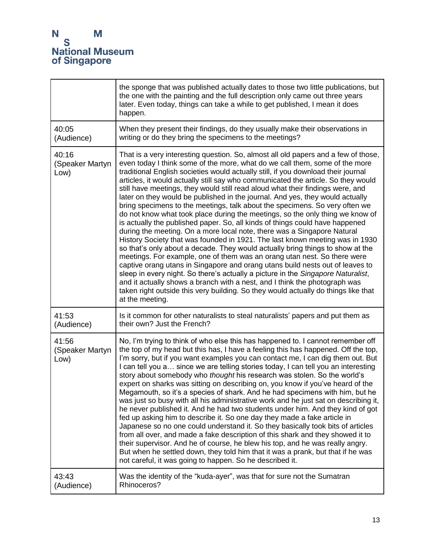|                                  | the sponge that was published actually dates to those two little publications, but<br>the one with the painting and the full description only came out three years<br>later. Even today, things can take a while to get published, I mean it does<br>happen.                                                                                                                                                                                                                                                                                                                                                                                                                                                                                                                                                                                                                                                                                                                                                                                                                                                                                                                                                                                                                                                                                                                                                                                        |
|----------------------------------|-----------------------------------------------------------------------------------------------------------------------------------------------------------------------------------------------------------------------------------------------------------------------------------------------------------------------------------------------------------------------------------------------------------------------------------------------------------------------------------------------------------------------------------------------------------------------------------------------------------------------------------------------------------------------------------------------------------------------------------------------------------------------------------------------------------------------------------------------------------------------------------------------------------------------------------------------------------------------------------------------------------------------------------------------------------------------------------------------------------------------------------------------------------------------------------------------------------------------------------------------------------------------------------------------------------------------------------------------------------------------------------------------------------------------------------------------------|
| 40:05                            | When they present their findings, do they usually make their observations in                                                                                                                                                                                                                                                                                                                                                                                                                                                                                                                                                                                                                                                                                                                                                                                                                                                                                                                                                                                                                                                                                                                                                                                                                                                                                                                                                                        |
| (Audience)                       | writing or do they bring the specimens to the meetings?                                                                                                                                                                                                                                                                                                                                                                                                                                                                                                                                                                                                                                                                                                                                                                                                                                                                                                                                                                                                                                                                                                                                                                                                                                                                                                                                                                                             |
| 40:16<br>(Speaker Martyn<br>Low) | That is a very interesting question. So, almost all old papers and a few of those,<br>even today I think some of the more, what do we call them, some of the more<br>traditional English societies would actually still, if you download their journal<br>articles, it would actually still say who communicated the article. So they would<br>still have meetings, they would still read aloud what their findings were, and<br>later on they would be published in the journal. And yes, they would actually<br>bring specimens to the meetings, talk about the specimens. So very often we<br>do not know what took place during the meetings, so the only thing we know of<br>is actually the published paper. So, all kinds of things could have happened<br>during the meeting. On a more local note, there was a Singapore Natural<br>History Society that was founded in 1921. The last known meeting was in 1930<br>so that's only about a decade. They would actually bring things to show at the<br>meetings. For example, one of them was an orang utan nest. So there were<br>captive orang utans in Singapore and orang utans build nests out of leaves to<br>sleep in every night. So there's actually a picture in the Singapore Naturalist,<br>and it actually shows a branch with a nest, and I think the photograph was<br>taken right outside this very building. So they would actually do things like that<br>at the meeting. |
| 41:53                            | Is it common for other naturalists to steal naturalists' papers and put them as                                                                                                                                                                                                                                                                                                                                                                                                                                                                                                                                                                                                                                                                                                                                                                                                                                                                                                                                                                                                                                                                                                                                                                                                                                                                                                                                                                     |
| (Audience)                       | their own? Just the French?                                                                                                                                                                                                                                                                                                                                                                                                                                                                                                                                                                                                                                                                                                                                                                                                                                                                                                                                                                                                                                                                                                                                                                                                                                                                                                                                                                                                                         |
| 41:56<br>(Speaker Martyn<br>Low) | No, I'm trying to think of who else this has happened to. I cannot remember off<br>the top of my head but this has, I have a feeling this has happened. Off the top,<br>I'm sorry, but if you want examples you can contact me, I can dig them out. But<br>I can tell you a since we are telling stories today, I can tell you an interesting<br>story about somebody who thought his research was stolen. So the world's<br>expert on sharks was sitting on describing on, you know if you've heard of the<br>Megamouth, so it's a species of shark. And he had specimens with him, but he<br>was just so busy with all his administrative work and he just sat on describing it,<br>he never published it. And he had two students under him. And they kind of got<br>fed up asking him to describe it. So one day they made a fake article in<br>Japanese so no one could understand it. So they basically took bits of articles<br>from all over, and made a fake description of this shark and they showed it to<br>their supervisor. And he of course, he blew his top, and he was really angry.<br>But when he settled down, they told him that it was a prank, but that if he was<br>not careful, it was going to happen. So he described it.                                                                                                                                                                                               |
| 43:43                            | Was the identity of the "kuda-ayer", was that for sure not the Sumatran                                                                                                                                                                                                                                                                                                                                                                                                                                                                                                                                                                                                                                                                                                                                                                                                                                                                                                                                                                                                                                                                                                                                                                                                                                                                                                                                                                             |
| (Audience)                       | Rhinoceros?                                                                                                                                                                                                                                                                                                                                                                                                                                                                                                                                                                                                                                                                                                                                                                                                                                                                                                                                                                                                                                                                                                                                                                                                                                                                                                                                                                                                                                         |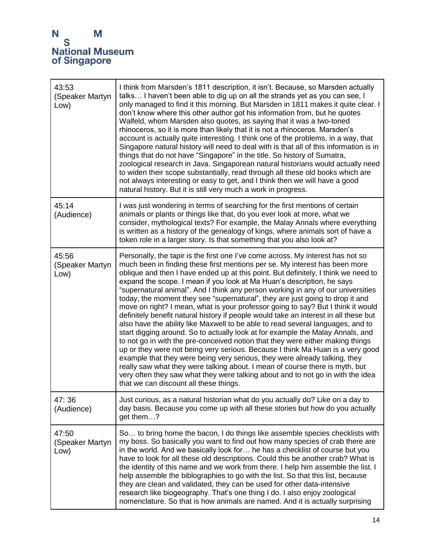| 43:53<br>(Speaker Martyn<br>Low) | I think from Marsden's 1811 description, it isn't. Because, so Marsden actually<br>talks I haven't been able to dig up on all the strands yet as you can see, I<br>only managed to find it this morning. But Marsden in 1811 makes it quite clear. I<br>don't know where this other author got his information from, but he quotes<br>Walfeld, whom Marsden also quotes, as saying that it was a two-toned<br>rhinoceros, so it is more than likely that it is not a rhinoceros. Marsden's<br>account is actually quite interesting. I think one of the problems, in a way, that<br>Singapore natural history will need to deal with is that all of this information is in<br>things that do not have "Singapore" in the title. So history of Sumatra,<br>zoological research in Java. Singaporean natural historians would actually need<br>to widen their scope substantially, read through all these old books which are<br>not always interesting or easy to get, and I think then we will have a good<br>natural history. But it is still very much a work in progress.                                                                                                                                                                                                                                        |
|----------------------------------|---------------------------------------------------------------------------------------------------------------------------------------------------------------------------------------------------------------------------------------------------------------------------------------------------------------------------------------------------------------------------------------------------------------------------------------------------------------------------------------------------------------------------------------------------------------------------------------------------------------------------------------------------------------------------------------------------------------------------------------------------------------------------------------------------------------------------------------------------------------------------------------------------------------------------------------------------------------------------------------------------------------------------------------------------------------------------------------------------------------------------------------------------------------------------------------------------------------------------------------------------------------------------------------------------------------------|
| 45:14<br>(Audience)              | I was just wondering in terms of searching for the first mentions of certain<br>animals or plants or things like that, do you ever look at more, what we<br>consider, mythological texts? For example, the Malay Annals where everything<br>is written as a history of the genealogy of kings, where animals sort of have a<br>token role in a larger story. Is that something that you also look at?                                                                                                                                                                                                                                                                                                                                                                                                                                                                                                                                                                                                                                                                                                                                                                                                                                                                                                               |
| 45:56<br>(Speaker Martyn<br>Low) | Personally, the tapir is the first one I've come across. My interest has not so<br>much been in finding these first mentions per se. My interest has been more<br>oblique and then I have ended up at this point. But definitely, I think we need to<br>expand the scope. I mean if you look at Ma Huan's description, he says<br>"supernatural animal". And I think any person working in any of our universities<br>today, the moment they see "supernatural", they are just going to drop it and<br>move on right? I mean, what is your professor going to say? But I think it would<br>definitely benefit natural history if people would take an interest in all these but<br>also have the ability like Maxwell to be able to read several languages, and to<br>start digging around. So to actually look at for example the Malay Annals, and<br>to not go in with the pre-conceived notion that they were either making things<br>up or they were not being very serious. Because I think Ma Huan is a very good<br>example that they were being very serious, they were already talking, they<br>really saw what they were talking about. I mean of course there is myth, but<br>very often they saw what they were talking about and to not go in with the idea<br>that we can discount all these things. |
| 47:36<br>(Audience)              | Just curious, as a natural historian what do you actually do? Like on a day to<br>day basis. Because you come up with all these stories but how do you actually<br>get them?                                                                                                                                                                                                                                                                                                                                                                                                                                                                                                                                                                                                                                                                                                                                                                                                                                                                                                                                                                                                                                                                                                                                        |
| 47:50<br>(Speaker Martyn<br>Low) | So to bring home the bacon, I do things like assemble species checklists with<br>my boss. So basically you want to find out how many species of crab there are<br>in the world. And we basically look for he has a checklist of course but you<br>have to look for all these old descriptions. Could this be another crab? What is<br>the identity of this name and we work from there. I help him assemble the list. I<br>help assemble the biblographies to go with the list. So that this list, because<br>they are clean and validated, they can be used for other data-intensive<br>research like biogeography. That's one thing I do. I also enjoy zoological<br>nomenclature. So that is how animals are named. And it is actually surprising                                                                                                                                                                                                                                                                                                                                                                                                                                                                                                                                                                |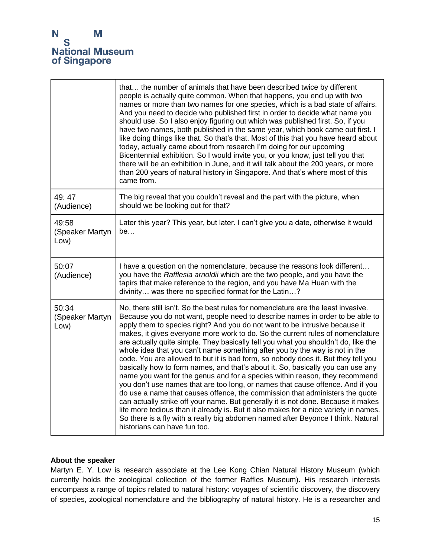|                                  | that the number of animals that have been described twice by different<br>people is actually quite common. When that happens, you end up with two<br>names or more than two names for one species, which is a bad state of affairs.<br>And you need to decide who published first in order to decide what name you<br>should use. So I also enjoy figuring out which was published first. So, if you<br>have two names, both published in the same year, which book came out first. I<br>like doing things like that. So that's that. Most of this that you have heard about<br>today, actually came about from research I'm doing for our upcoming<br>Bicentennial exhibition. So I would invite you, or you know, just tell you that<br>there will be an exhibition in June, and it will talk about the 200 years, or more<br>than 200 years of natural history in Singapore. And that's where most of this<br>came from.                                                                                                                                                                                                                                                                                                        |
|----------------------------------|------------------------------------------------------------------------------------------------------------------------------------------------------------------------------------------------------------------------------------------------------------------------------------------------------------------------------------------------------------------------------------------------------------------------------------------------------------------------------------------------------------------------------------------------------------------------------------------------------------------------------------------------------------------------------------------------------------------------------------------------------------------------------------------------------------------------------------------------------------------------------------------------------------------------------------------------------------------------------------------------------------------------------------------------------------------------------------------------------------------------------------------------------------------------------------------------------------------------------------|
| 49:47<br>(Audience)              | The big reveal that you couldn't reveal and the part with the picture, when<br>should we be looking out for that?                                                                                                                                                                                                                                                                                                                                                                                                                                                                                                                                                                                                                                                                                                                                                                                                                                                                                                                                                                                                                                                                                                                  |
| 49:58<br>(Speaker Martyn<br>Low) | Later this year? This year, but later. I can't give you a date, otherwise it would<br>be                                                                                                                                                                                                                                                                                                                                                                                                                                                                                                                                                                                                                                                                                                                                                                                                                                                                                                                                                                                                                                                                                                                                           |
| 50:07<br>(Audience)              | I have a question on the nomenclature, because the reasons look different<br>you have the Rafflesia arnoldii which are the two people, and you have the<br>tapirs that make reference to the region, and you have Ma Huan with the<br>divinity was there no specified format for the Latin?                                                                                                                                                                                                                                                                                                                                                                                                                                                                                                                                                                                                                                                                                                                                                                                                                                                                                                                                        |
| 50:34<br>(Speaker Martyn<br>Low) | No, there still isn't. So the best rules for nomenclature are the least invasive.<br>Because you do not want, people need to describe names in order to be able to<br>apply them to species right? And you do not want to be intrusive because it<br>makes, it gives everyone more work to do. So the current rules of nomenclature<br>are actually quite simple. They basically tell you what you shouldn't do, like the<br>whole idea that you can't name something after you by the way is not in the<br>code. You are allowed to but it is bad form, so nobody does it. But they tell you<br>basically how to form names, and that's about it. So, basically you can use any<br>name you want for the genus and for a species within reason, they recommend<br>you don't use names that are too long, or names that cause offence. And if you<br>do use a name that causes offence, the commission that administers the quote<br>can actually strike off your name. But generally it is not done. Because it makes<br>life more tedious than it already is. But it also makes for a nice variety in names.<br>So there is a fly with a really big abdomen named after Beyonce I think. Natural<br>historians can have fun too. |

#### **About the speaker**

Martyn E. Y. Low is research associate at the Lee Kong Chian Natural History Museum (which currently holds the zoological collection of the former Raffles Museum). His research interests encompass a range of topics related to natural history: voyages of scientific discovery, the discovery of species, zoological nomenclature and the bibliography of natural history. He is a researcher and